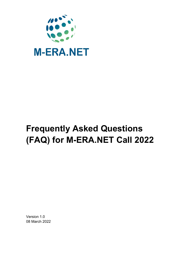

# **Frequently Asked Questions (FAQ) for M-ERA.NET Call 2022**

Version 1.0 08 March 2022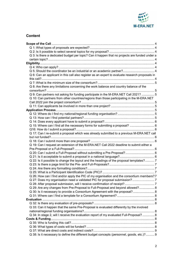

# **Content**

| Q 3: Is there a dedicated budget per topic? Can it happen that no projects are funded under a   |  |
|-------------------------------------------------------------------------------------------------|--|
|                                                                                                 |  |
|                                                                                                 |  |
|                                                                                                 |  |
|                                                                                                 |  |
| Q 6: Can an applicant in this call also register as an expert to evaluate research proposals in |  |
|                                                                                                 |  |
|                                                                                                 |  |
| Q 8: Are there any limitations concerning the work balance and country balance of the           |  |
|                                                                                                 |  |
| Q 9: Can partners not asking for funding participate in the M-ERA.NET Call 2021?  5             |  |
| Q 10: Can partners from other countries/regions than those participating in the M-ERA.NET       |  |
|                                                                                                 |  |
|                                                                                                 |  |
|                                                                                                 |  |
|                                                                                                 |  |
|                                                                                                 |  |
|                                                                                                 |  |
| Q 15: Where can I find all the necessary forms for submitting a proposal?  6                    |  |
|                                                                                                 |  |
| Q 17: Can I re-submit a proposal which was already submitted to a previous M-ERA.NET call       |  |
|                                                                                                 |  |
|                                                                                                 |  |
| Q 19: Can I request an extension of the M-ERA.NET Call 2022 deadline to submit either a         |  |
|                                                                                                 |  |
| Q 20: Can I submit a Full-Proposal without submitting a Pre-Proposal? 6                         |  |
|                                                                                                 |  |
| Q 22: Is it possible to change the layout and the headings of the proposal templates?7          |  |
|                                                                                                 |  |
|                                                                                                 |  |
|                                                                                                 |  |
| Q 26: How can I find and/or apply the PIC of my organisation and the consortium members? 7      |  |
|                                                                                                 |  |
|                                                                                                 |  |
| Q 29: Are any changes from Pre-Proposal to Full-Proposal and beyond allowed? 8                  |  |
| Q 30: Is it necessary to provide a Consortium Agreement with the proposal? 8                    |  |
|                                                                                                 |  |
|                                                                                                 |  |
|                                                                                                 |  |
| Q 33: Can it happen that the same Pre-Proposal is evaluated differently by the involved         |  |
|                                                                                                 |  |
| Q 34: In stage 2, will I receive the evaluation report of my evaluated Full-Proposal?  8        |  |
|                                                                                                 |  |
|                                                                                                 |  |
|                                                                                                 |  |
| Q 38: Is it necessary to define the different budget concepts (personnel, goods, etc.)?  9      |  |
|                                                                                                 |  |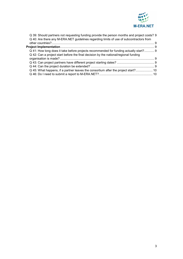

| Q 39: Should partners not requesting funding provide the person months and project costs? 9 |  |
|---------------------------------------------------------------------------------------------|--|
| Q 40: Are there any M-ERA.NET guidelines regarding limits of use of subcontractors from     |  |
|                                                                                             |  |
|                                                                                             |  |
| Q 41: How long does it take before projects recommended for funding actually start? 9       |  |
| Q 42: Can a project start before the final decision by the national/regional funding        |  |
|                                                                                             |  |
|                                                                                             |  |
|                                                                                             |  |
| Q 45: What happens, if a partner leaves the consortium after the project start? 10          |  |
|                                                                                             |  |
|                                                                                             |  |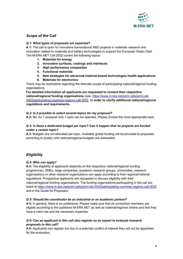

# <span id="page-3-0"></span>*Scope of the Call*

## <span id="page-3-1"></span>*Q 1: What types of proposals are expected?*

**A 1:** The call is open for innovative transnational R&D projects in materials research and innovation related to materials and battery technologies to support the European Green Deal. The M-ERA.NET Call 2022 covers the following topics:

- **1. Materials for energy**
- **2. Innovative surfaces, coatings and interfaces**
- **3. High performance composites**
- **4. Functional materials**
- **5. New strategies for advanced material-based technologies health applications**
- **6. Materials for electronics**

There may be restrictions regarding the thematic scope of participating national/regional funding organisations.

**For detailed information all applicants are requested to contact their respective national/regional funding organisations** (see: [https://www.m-era.net/joint-calls/joint-call-](https://www.m-era.net/joint-calls/joint-call-2022/participating-countries-regions-call-2022)[2022/participating-countries-regions-call-2022](https://www.m-era.net/joint-calls/joint-call-2022/participating-countries-regions-call-2022) **in order to clarify additional national/regional regulations and requirements.**

## <span id="page-3-2"></span>*Q 2: Is it possible to select several topics for my proposal?*

**A 2:** No, for 1 proposal only 1 topic can be selected. Please choose the most appropriate topic.

# <span id="page-3-3"></span>*Q 3: Is there a dedicated budget per topic? Can it happen that no projects are funded under a certain topic?*

**A 3:** Budgets are not allocated per topic. Available global funding will be provided to proposals according to quality until national/regional budgets are exhausted.

# <span id="page-3-4"></span>*Eligibility*

#### <span id="page-3-5"></span>*Q 4: Who can apply?*

**A 4:** The eligibility of applicants depends on the respective national/regional funding programmes. SMEs, large companies, academic research groups, universities, research organisations or other research organisations can apply according to their regional/national regulations. Prospective applicants are requested to discuss eligibility with their national/regional funding organisations. The funding organisations participating in the call are listed at <https://www.m-era.net/joint-calls/joint-call-2022/participating-countries-regions-call-2022> and in the Guide for Proposers.

#### <span id="page-3-6"></span>*Q 5: Should the coordinator be an industrial or an academic partner?*

**A 5:** In general, there is no preference. Please make sure that all consortium members are eligible according to the published M-ERA.NET as well as national/regional criteria and that they have a valid role and the necessary expertise.

## <span id="page-3-7"></span>*Q 6: Can an applicant in this call also register as an expert to evaluate research proposals in this call?*

**A 6:** Applicants can register but due to a potential conflict of interest they will not be appointed for the evaluation.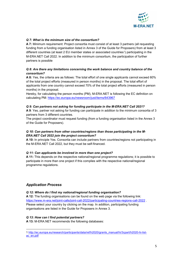

# <span id="page-4-0"></span>*Q 7: What is the minimum size of the consortium?*

**A 7:** Minimum requirement: Project consortia must consist of at least 3 partners (all requesting funding from a funding organisation listed in Annex 3 of the Guide for Proposers) from at least 3 different countries (at least 2 EU member states or associated countries<sup>[1](#page-4-8)</sup>) participating in the M-ERA.NET Call 2022. In addition to the minimum consortium, the participation of further partners is possible

# <span id="page-4-1"></span>*Q 8: Are there any limitations concerning the work balance and country balance of the consortium?*

**A 8:** Yes, the criteria are as follows: The total effort of one single applicants cannot exceed 60% of the total project efforts (measured in person months) in the proposal. The total effort of applicants from one country cannot exceed 70% of the total project efforts (measured in person months) in the proposal.

Hereby, for calculating the person months (PM), M-ERA.NET is following the EC definition on calculating PM:<https://ec.europa.eu/newsroom/just/items/643967>

#### <span id="page-4-2"></span>*Q 9: Can partners not asking for funding participate in the M-ERA.NET Call 2021?*

**A 9**: Yes, partner not asking for funding can participate in addition to the minimum consortia of 3 partners from 3 different countries.

The project coordinator must request funding (from a funding organisation listed in the Annex 3 of the Guide for Proposers).

#### <span id="page-4-3"></span>*Q 10: Can partners from other countries/regions than those participating in the M-ERA.NET Call 2022 join the project consortium?*

**A 10:** In principle Yes. Consortia can include partners from countries/regions not participating in the M-ERA.NET Call 2022, but they must be self-financed.

#### <span id="page-4-4"></span>*Q 11: Can applicants be involved in more than one project?*

**A 11:** This depends on the respective national/regional programme regulations; it is possible to participate in more than one project if this complies with the respective national/regional programme regulations.

# <span id="page-4-5"></span>*Application Process*

#### <span id="page-4-6"></span>*Q 12: Where do I find my national/regional funding organisation?*

**A 12:** The funding organisations can be found on the web page via the following link: <https://www.m-era.net/joint-calls/joint-call-2022/participating-countries-regions-call-2022> . Please select your country by clicking on the map. In addition, participating funding organisations are listed in the Guide for Proposers in Annex 3.

#### <span id="page-4-7"></span>*Q 13: How can I find potential partners?*

**A 13:** M-ERA.NET recommends the following databases:

<span id="page-4-8"></span>**<sup>.</sup>** 1 [http://ec.europa.eu/research/participants/data/ref/h2020/grants\\_manual/hi/3cpart/h2020-hi-list](http://ec.europa.eu/research/participants/data/ref/h2020/grants_manual/hi/3cpart/h2020-hi-list-ac_en.pdf)[ac\\_en.pdf](http://ec.europa.eu/research/participants/data/ref/h2020/grants_manual/hi/3cpart/h2020-hi-list-ac_en.pdf)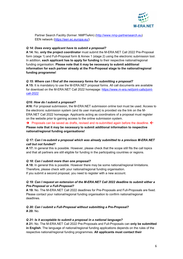

Partner Search Facility (former: NMPTeAm) [\(http://www.nmp-partnersearch.eu\)](https://www.nmp-partnersearch.eu/) EEN network [\(https://een.ec.europa.eu/\)](https://een.ec.europa.eu/)

# <span id="page-5-0"></span>*Q 14: Does every applicant have to submit a proposal?*

**A 14:** No, **only the project coordinator** must submit the M-ERA.NET Call 2022 Pre-Proposal form (stage 1) and Full-Proposal form & Annex 1 (stage 2) using the electronic submission tool. In addition, **each applicant has to apply for funding** to their respective national/regional funding organisation. **Please note that it may be necessary to submit additional information for each partner already at the Pre-Proposal stage to the national/regional funding programme!** 

## <span id="page-5-1"></span>*Q 15: Where can I find all the necessary forms for submitting a proposal?*

**A 15:** It is mandatory to use the M-ERA.NET proposal forms. All call documents are available for download on the M-ERA.NET Call 2022 homepage: [https://www.m-era.net/joint-calls/joint](https://www.m-era.net/joint-calls/joint-call-2022)[call-2022](https://www.m-era.net/joint-calls/joint-call-2022)

## <span id="page-5-2"></span>*Q16: How do I submit a proposal?*

**A16:** For proposal submission, the M-ERA.NET submission online tool must be used. Access to the electronic submission system (and its user manual) is provided via the link on the M-ERA.NET Call 2022 homepage. Applicants acting as coordinators of a proposal must register on the website prior to gaining access to the online submission system.

 $\rightarrow$  Proposals can be saved as drafts, revised and re-submitted again before the deadline.  $\leftarrow$ **Please note that it may be necessary to submit additional information to respective national/regional funding organisations!** 

# <span id="page-5-3"></span>*Q 17: Can I re-submit a proposal which was already submitted to a previous M-ERA.NET call but not funded?*

**A 17:** In general this is possible. However, please check that the scope still fits the call topics and that all partners are still eligible for funding in the participating countries or regions.

#### <span id="page-5-4"></span>*Q 18: Can I submit more than one proposal?*

**A 18:** In general this is possible. However there may be some national/regional limitations. Therefore, please check with your national/regional funding organisation. If you submit a second proposal, you need to register with a new account.

# <span id="page-5-5"></span>*Q 19: Can I request an extension of the M-ERA.NET Call 2022 deadline to submit either a Pre-Proposal or a Full-Proposal?*

**A 19:** No. The M-ERA.NET Call 2022 deadlines for Pre-Proposals and Full-Proposals are fixed. Please contact your national/regional funding organisation to confirm national/regional deadlines.

#### <span id="page-5-6"></span>*Q 20: Can I submit a Full-Proposal without submitting a Pre-Proposal?* **A 20:** No.

#### <span id="page-5-7"></span>*Q 21: Is it acceptable to submit a proposal in a national language?*

**A 21:** No. The M-ERA.NET Call 2022 Pre-Proposals and Full-Proposals can **only be submitted in English**. The language of national/regional funding applications depends on the rules of the respective national/regional funding programmes. **All applicants must contact their**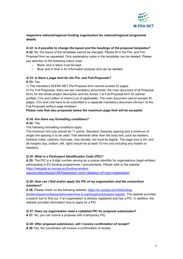

# **respective national/regional funding organisation for national/regional programme details.**

# <span id="page-6-0"></span>*Q 22: Is it possible to change the layout and the headings of the proposal templates?*

**A 22**: No, the layout of the templates cannot be changed. Please fill in the Pre- and Full-Proposal form as requested. Only explanatory notes in the templates can be deleted. Please pay attention to the following colour code:

- o Black: text in black must be kept
- o Blue: text in blue is for information purpose and can be deleted.

# <span id="page-6-1"></span>*Q 23: Is there a page limit for the Pre- and Full-Proposals?*

## **A 23:** Yes.

1) The mandatory M-ERA.NET Pre-Proposal form cannot exceed 22 pages.

2) For Full-Proposals, there are two mandatory documents: the main document (Full-Proposal form) for the whole project description and the Annex 1 to Full-Proposal form for partner profiles, CVs and Letters of Intent (LoI) (if applicable). The main document cannot exceed 40 pages. CVs and LoIs have to be submitted in a separate mandatory document (Annex1 to the Full-Proposal) without page limitation.

**Please note that also proposals below the maximum page limit will be accepted.** 

# <span id="page-6-2"></span>*Q 24: Are there any formatting conditions?*

# **A 24:** Yes.

The following formatting conditions apply:

The minimum font size should be 11 points. Standard character spacing and a minimum of single line spacing is to be used. Text elements other than the body text, such as headers, foot/end notes, captions, formulas, may deviate, but must be legible. The page size is A4, and all margins (top, bottom, left, right) should be at least 15 mm (not including any footers or headers).

# <span id="page-6-3"></span>*Q 25: What is a Participant Identification Code (PIC)?*

**A 25:** The PIC is a 9-digit number serving as a unique identifier for organisations (legal entities) participating in EU funding programmes / procurements. Please refer to the website: [https://webgate.ec.europa.eu/funding-tenders-](https://webgate.ec.europa.eu/funding-tenders-opportunities/display/OM/Registration+and+validation+of+your+organisation)

[opportunities/display/OM/Registration+and+validation+of+your+organisation](https://webgate.ec.europa.eu/funding-tenders-opportunities/display/OM/Registration+and+validation+of+your+organisation)

# <span id="page-6-4"></span>*Q 26: How can I find and/or apply the PIC of my organisation and the consortium members?*

**A 26**: Please check on the following website: [https://ec.europa.eu/info/funding](https://ec.europa.eu/info/funding-tenders/opportunities/portal/screen/how-to-participate/participant-register)[tenders/opportunities/portal/screen/how-to-participate/participant-register.](https://ec.europa.eu/info/funding-tenders/opportunities/portal/screen/how-to-participate/participant-register) The website provides a search tool to find out, if an organisation is already registered and has a PIC. In addition, the website provides information how to apply for a PIC.

# <span id="page-6-5"></span>*Q 27: Does my organisation need a validated PIC for proposal submission?*

**A 27**: No, you can submit a proposal with a temporary PIC.

# <span id="page-6-6"></span>*Q 28: After proposal submission, will I receive confirmation of receipt?*

**A 28** Yes, the coordinator will receive a confirmation of receipt.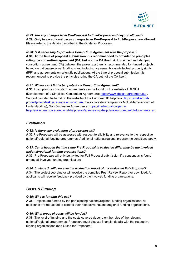

<span id="page-7-0"></span>*Q 29: Are any changes from Pre-Proposal to Full-Proposal and beyond allowed?*  **A 29: Only in exceptional cases changes from Pre-Proposal to Full-Proposal are allowed.** Please refer to the details described in the Guide for Proposers.

#### <span id="page-7-1"></span>*Q 30: Is it necessary to provide a Consortium Agreement with the proposal?*

**A 30: At the time of proposal submission it is recommended to provide the principles ruling the consortium agreement (CA) but not the CA itself.** A duly signed and stamped consortium agreement (CA) between the project partners is recommended for funded projects based on national/regional funding rules, including agreements on intellectual property rights (IPR) and agreements on scientific publications. At the time of proposal submission it is recommended to provide the principles ruling the CA but not the CA itself.

#### <span id="page-7-2"></span>*Q 31: Where can I find a template for a Consortium Agreement?*

**A 31**: Examples for consortium agreements can be found on the website of DESCA (Development of a Simplified Consortium Agreement):<https://www.desca-agreement.eu/> . Support can also be found on the website of the European IP helpdesk: [https://intellectual](https://intellectual-property-helpdesk.ec.europa.eu/index_en)[property-helpdesk.ec.europa.eu/index\\_en.](https://intellectual-property-helpdesk.ec.europa.eu/index_en) It also provide examples for MoU (Memorandum of Understanding), Non-Disclosure Agreements: [https://intellectual-property](https://intellectual-property-helpdesk.ec.europa.eu/regional-helpdesks/european-ip-helpdesk/europe-useful-documents_en)[helpdesk.ec.europa.eu/regional-helpdesks/european-ip-helpdesk/europe-useful-documents\\_en](https://intellectual-property-helpdesk.ec.europa.eu/regional-helpdesks/european-ip-helpdesk/europe-useful-documents_en)

# <span id="page-7-3"></span>*Evaluation*

#### <span id="page-7-4"></span>*Q 32: Is there any evaluation of pre-proposals?*

**A 32** Pre-Proposals will be assessed with respect to eligibility and relevance to the respective national/regional funding programmes. Additional national/regional programme conditions apply.

## <span id="page-7-5"></span>*Q 33: Can it happen that the same Pre-Proposal is evaluated differently by the involved national/regional funding organisations?*

**A 33:** Pre-Proposals will only be invited for Full-Proposal submission if a consensus is found among all involved funding organisations.

#### <span id="page-7-6"></span>*Q 34: In stage 2, will I receive the evaluation report of my evaluated Full-Proposal?*

**A 34:** The project coordinator will receive the compiled Peer Review Report for download. All applicants will receive feedback provided by the involved funding organisations.

# <span id="page-7-7"></span>*Costs & Funding*

#### <span id="page-7-8"></span>*Q 35: Who is funding this call?*

**A 35:** Projects are funded by the participating national/regional funding organisations. All applicants are requested to contact their respective national/regional funding organisations.

#### <span id="page-7-9"></span>*Q 36: What types of costs will be funded?*

**A 36:** The level of funding and the costs covered depend on the rules of the relevant national/regional programmes. Proposers must discuss financial details with the respective funding organisations (see Guide for Proposers).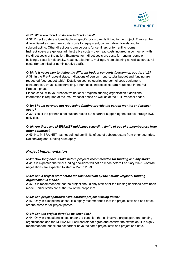

#### <span id="page-8-0"></span>*Q 37: What are direct costs and indirect costs?*

**A 37**: **Direct costs** are identifiable as specific costs directly linked to the project. They can be differentiated as personnel costs, costs for equipment, consumables, travels and for subcontracting. Other direct costs can be costs for seminars or for renting rooms. **Indirect costs** are general administrative costs – overhead costs incurred in connection with the direct costs of the action. Examples for indirect costs are costs for renting rooms or buildings, costs for electricity, heating, telephone, mailings, room cleaning as well as structural costs (for technical or administrative staff).

## <span id="page-8-1"></span>*Q 38: Is it necessary to define the different budget concepts (personnel, goods, etc.)?*

**A 38**: In the Pre-Proposal stage, indications of person months, total budget and funding are requested (see budget table). Details on cost categories (personnel cost, equipment, consumables, travel, subcontracting, other costs, indirect costs) are requested in the Full-Proposal phase.

Please check with your respective national / regional funding organisation if additional information is required at the Pre-Proposal phase as well as at the Full-Proposal phase.

#### <span id="page-8-2"></span>*Q 39: Should partners not requesting funding provide the person months and project costs?*

**A 39:** Yes, if the partner is not subcontracted but a partner supporting the project through R&D activities.

## <span id="page-8-3"></span>*Q 40: Are there any M-ERA.NET guidelines regarding limits of use of subcontractors from other countries?*

**A 40**: No, M-ERA.NET has not defined any limits of use of subcontractors from other countries. National/regional funding rules apply.

# <span id="page-8-4"></span>*Project Implementation*

#### <span id="page-8-5"></span>*Q 41: How long does it take before projects recommended for funding actually start?*

**A 41** It is expected that final funding decisions will not be made before February 2023. Contract negotiations are expected to start in March 2023.

## <span id="page-8-6"></span>*Q 42: Can a project start before the final decision by the national/regional funding organisation is made?*

**A 42:** It is recommended that the project should only start after the funding decisions have been made. Earlier starts are at the risk of the proposers.

#### <span id="page-8-7"></span>*Q 43: Can project partners have different project starting dates?*

**A 43:** Only in exceptional cases. It is highly recommended that the project start and end dates are the same for all project parties.

#### <span id="page-8-8"></span>*Q 44: Can the project duration be extended?*

**A 44:** Only in exceptional cases under the condition that all involved project partners, funding organisations and the M-ERA.NET call secretariat agree and confirm the extension. It is highly recommended that all project partner have the same project start and project end date.